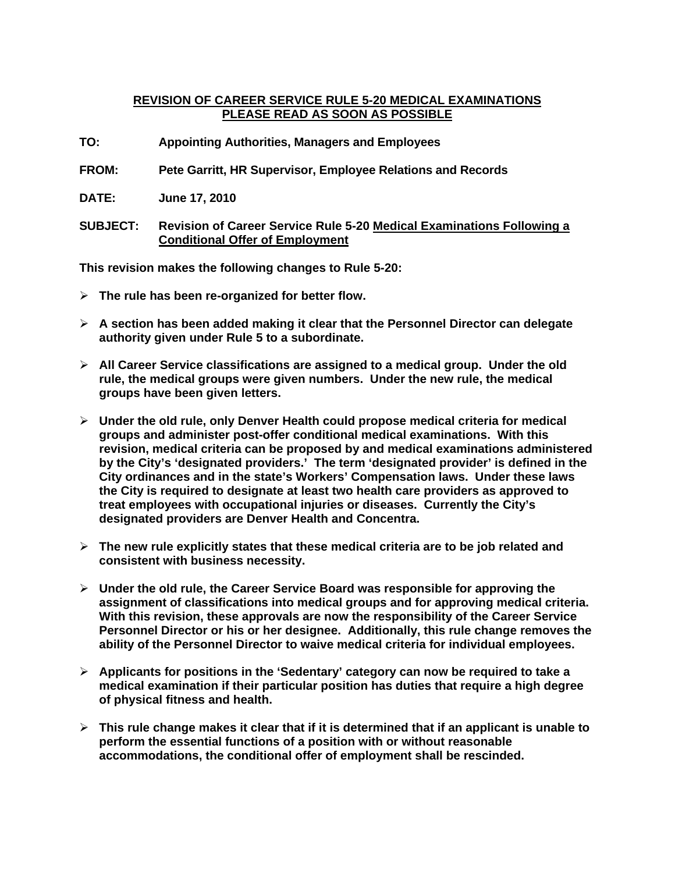### **REVISION OF CAREER SERVICE RULE 5-20 MEDICAL EXAMINATIONS PLEASE READ AS SOON AS POSSIBLE**

- **TO: Appointing Authorities, Managers and Employees**
- **FROM: Pete Garritt, HR Supervisor, Employee Relations and Records**
- **DATE: June 17, 2010**
- **SUBJECT: Revision of Career Service Rule 5-20 Medical Examinations Following a Conditional Offer of Employment**

**This revision makes the following changes to Rule 5-20:** 

- ¾ **The rule has been re-organized for better flow.**
- ¾ **A section has been added making it clear that the Personnel Director can delegate authority given under Rule 5 to a subordinate.**
- ¾ **All Career Service classifications are assigned to a medical group. Under the old rule, the medical groups were given numbers. Under the new rule, the medical groups have been given letters.**
- ¾ **Under the old rule, only Denver Health could propose medical criteria for medical groups and administer post-offer conditional medical examinations. With this revision, medical criteria can be proposed by and medical examinations administered by the City's 'designated providers.' The term 'designated provider' is defined in the City ordinances and in the state's Workers' Compensation laws. Under these laws the City is required to designate at least two health care providers as approved to treat employees with occupational injuries or diseases. Currently the City's designated providers are Denver Health and Concentra.**
- ¾ **The new rule explicitly states that these medical criteria are to be job related and consistent with business necessity.**
- ¾ **Under the old rule, the Career Service Board was responsible for approving the assignment of classifications into medical groups and for approving medical criteria. With this revision, these approvals are now the responsibility of the Career Service Personnel Director or his or her designee. Additionally, this rule change removes the ability of the Personnel Director to waive medical criteria for individual employees.**
- ¾ **Applicants for positions in the 'Sedentary' category can now be required to take a medical examination if their particular position has duties that require a high degree of physical fitness and health.**
- ¾ **This rule change makes it clear that if it is determined that if an applicant is unable to perform the essential functions of a position with or without reasonable accommodations, the conditional offer of employment shall be rescinded.**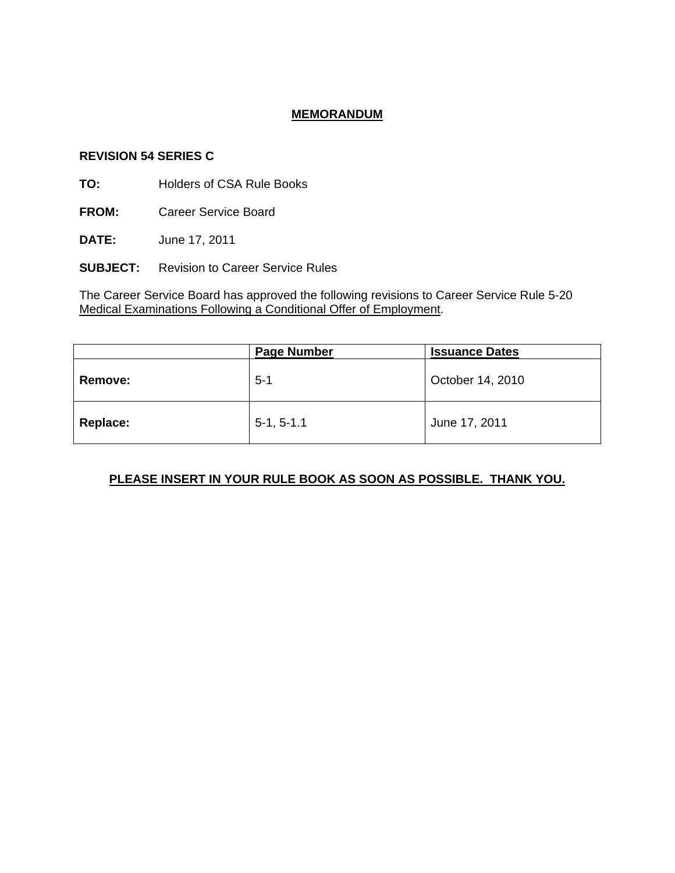## **MEMORANDUM**

#### **REVISION 54 SERIES C**

**TO:** Holders of CSA Rule Books

- **FROM:** Career Service Board
- **DATE:** June 17, 2011
- **SUBJECT:** Revision to Career Service Rules

The Career Service Board has approved the following revisions to Career Service Rule 5-20 Medical Examinations Following a Conditional Offer of Employment.

|                | <b>Page Number</b> | <b>Issuance Dates</b> |
|----------------|--------------------|-----------------------|
| <b>Remove:</b> | $5 - 1$            | October 14, 2010      |
| Replace:       | $5-1, 5-1.1$       | June 17, 2011         |

# **PLEASE INSERT IN YOUR RULE BOOK AS SOON AS POSSIBLE. THANK YOU.**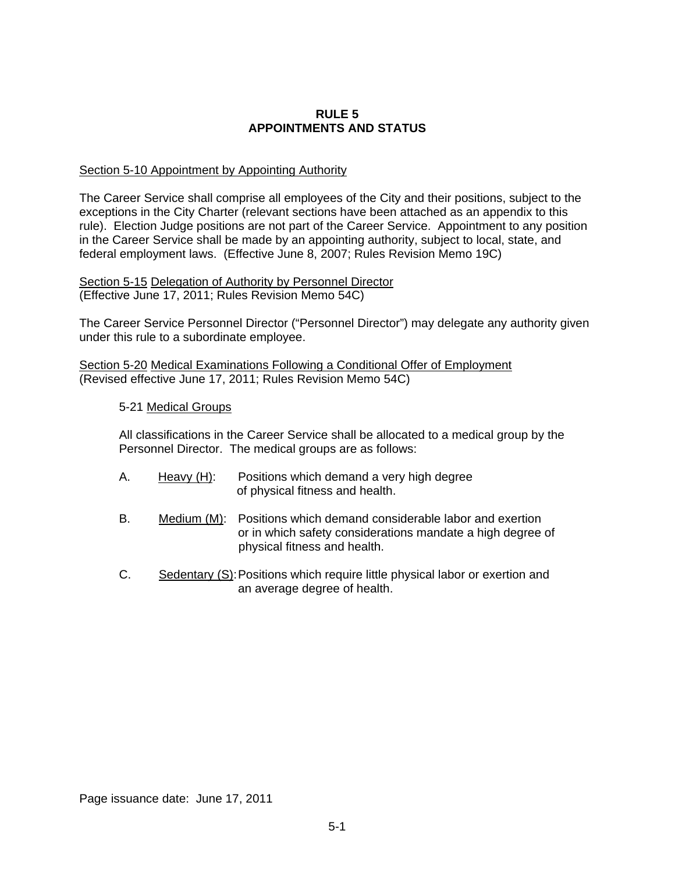#### **RULE 5 APPOINTMENTS AND STATUS**

#### Section 5-10 Appointment by Appointing Authority

The Career Service shall comprise all employees of the City and their positions, subject to the exceptions in the City Charter (relevant sections have been attached as an appendix to this rule). Election Judge positions are not part of the Career Service. Appointment to any position in the Career Service shall be made by an appointing authority, subject to local, state, and federal employment laws. (Effective June 8, 2007; Rules Revision Memo 19C)

Section 5-15 Delegation of Authority by Personnel Director (Effective June 17, 2011; Rules Revision Memo 54C)

The Career Service Personnel Director ("Personnel Director") may delegate any authority given under this rule to a subordinate employee.

Section 5-20 Medical Examinations Following a Conditional Offer of Employment (Revised effective June 17, 2011; Rules Revision Memo 54C)

#### 5-21 Medical Groups

All classifications in the Career Service shall be allocated to a medical group by the Personnel Director. The medical groups are as follows:

- A. Heavy (H): Positions which demand a very high degree of physical fitness and health.
- B. Medium (M): Positions which demand considerable labor and exertion or in which safety considerations mandate a high degree of physical fitness and health.
- C. Sedentary (S): Positions which require little physical labor or exertion and an average degree of health.

Page issuance date: June 17, 2011